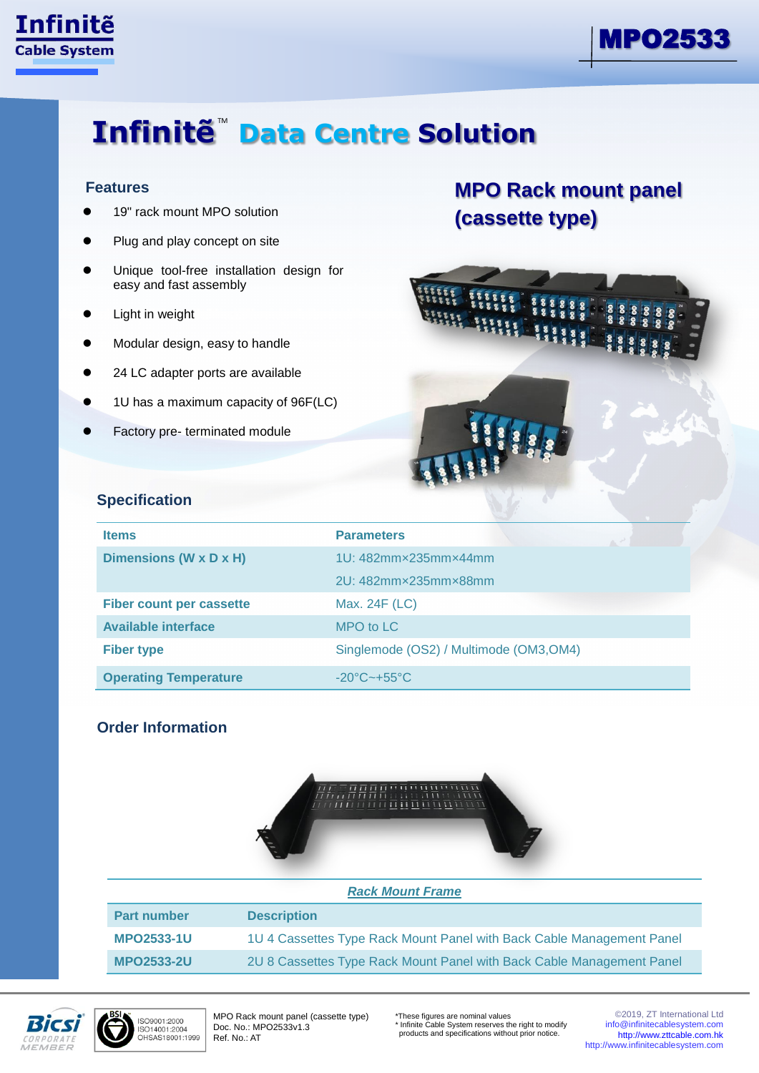

ī



# **Infinite<sup>™</sup> Data Centre Solution**

#### **Features**

- 19" rack mount MPO solution
- Plug and play concept on site
- Unique tool-free installation design for easy and fast assembly
- Light in weight
- Modular design, easy to handle
- 24 LC adapter ports are available
- 1U has a maximum capacity of 96F(LC)
- Factory pre- terminated module

### **MPO Rack mount panel (cassette type)**



#### **Specification**

| <b>Items</b>                    | <b>Parameters</b>                       |
|---------------------------------|-----------------------------------------|
| Dimensions (W x D x H)          | 1U: 482mmx235mmx44mm                    |
|                                 | 2U: 482mm×235mm×88mm                    |
| <b>Fiber count per cassette</b> | Max. 24F (LC)                           |
| <b>Available interface</b>      | MPO to LC                               |
| <b>Fiber type</b>               | Singlemode (OS2) / Multimode (OM3, OM4) |
| <b>Operating Temperature</b>    | $-20^{\circ}$ C $-+55^{\circ}$ C        |

### **Order Information**



| <b>Rack Mount Frame</b> |                                                                       |  |
|-------------------------|-----------------------------------------------------------------------|--|
| <b>Part number</b>      | <b>Description</b>                                                    |  |
| <b>MPO2533-1U</b>       | 1U 4 Cassettes Type Rack Mount Panel with Back Cable Management Panel |  |
| <b>MPO2533-2U</b>       | 2U 8 Cassettes Type Rack Mount Panel with Back Cable Management Panel |  |





MPO Rack mount panel (cassette type) Doc. No.: MPO2533v1.3 Ref. No.: AT

\*These figures are nominal values \* Infinite Cable System reserves the right to modify products and specifications without prior notice.

©2019, ZT International Ltd info@infinitecablesystem.com [http://www.zttcable.com.hk](http://www.zttcable.com.hk/) [http://www.infinitecablesystem.com](http://www.infinitecablesystem.com/)